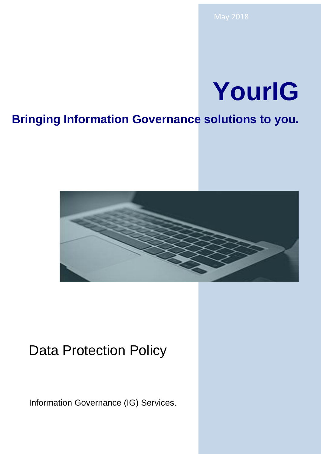# **YourIG**

## **Bringing Information Governance solutions to you.**



## Data Protection Policy

Information Governance (IG) Services.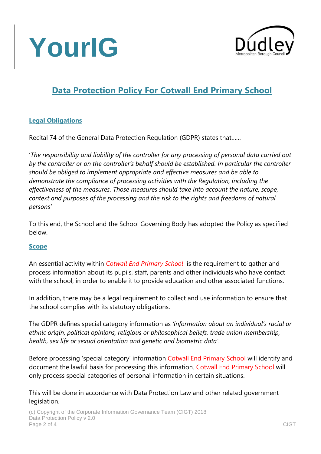



### **Data Protection Policy For Cotwall End Primary School**

#### **Legal Obligations**

Recital 74 of the General Data Protection Regulation (GDPR) states that……

'*The responsibility and liability of the controller for any processing of personal data carried out by the controller or on the controller's behalf should be established. In particular the controller should be obliged to implement appropriate and effective measures and be able to demonstrate the compliance of processing activities with the Regulation, including the effectiveness of the measures. Those measures should take into account the nature, scope, context and purposes of the processing and the risk to the rights and freedoms of natural persons'*

To this end, the School and the School Governing Body has adopted the Policy as specified below.

#### **Scope**

An essential activity within *Cotwall End Primary School* is the requirement to gather and process information about its pupils, staff, parents and other individuals who have contact with the school, in order to enable it to provide education and other associated functions.

In addition, there may be a legal requirement to collect and use information to ensure that the school complies with its statutory obligations.

The GDPR defines special category information as *'information about an individual's racial or ethnic origin, political opinions, religious or philosophical beliefs, trade union membership, health, sex life or sexual orientation and genetic and biometric data'*.

Before processing 'special category' information Cotwall End Primary School will identify and document the lawful basis for processing this information. Cotwall End Primary School will only process special categories of personal information in certain situations.

This will be done in accordance with Data Protection Law and other related government legislation.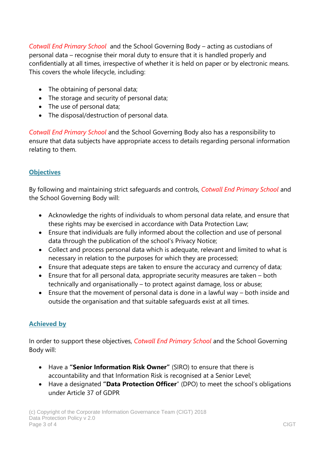*Cotwall End Primary School* and the School Governing Body – acting as custodians of personal data – recognise their moral duty to ensure that it is handled properly and confidentially at all times, irrespective of whether it is held on paper or by electronic means. This covers the whole lifecycle, including:

- The obtaining of personal data;
- The storage and security of personal data;
- The use of personal data;
- The disposal/destruction of personal data.

*Cotwall End Primary School* and the School Governing Body also has a responsibility to ensure that data subjects have appropriate access to details regarding personal information relating to them.

#### **Objectives**

By following and maintaining strict safeguards and controls, *Cotwall End Primary School* and the School Governing Body will:

- Acknowledge the rights of individuals to whom personal data relate, and ensure that these rights may be exercised in accordance with Data Protection Law;
- Ensure that individuals are fully informed about the collection and use of personal data through the publication of the school's Privacy Notice;
- Collect and process personal data which is adequate, relevant and limited to what is necessary in relation to the purposes for which they are processed;
- Ensure that adequate steps are taken to ensure the accuracy and currency of data;
- Ensure that for all personal data, appropriate security measures are taken both technically and organisationally – to protect against damage, loss or abuse;
- Ensure that the movement of personal data is done in a lawful way both inside and outside the organisation and that suitable safeguards exist at all times.

#### **Achieved by**

In order to support these objectives, *Cotwall End Primary School* and the School Governing Body will:

- Have a **"Senior Information Risk Owner"** (SIRO) to ensure that there is accountability and that Information Risk is recognised at a Senior Level;
- Have a designated **"Data Protection Officer**" (DPO) to meet the school's obligations under Article 37 of GDPR